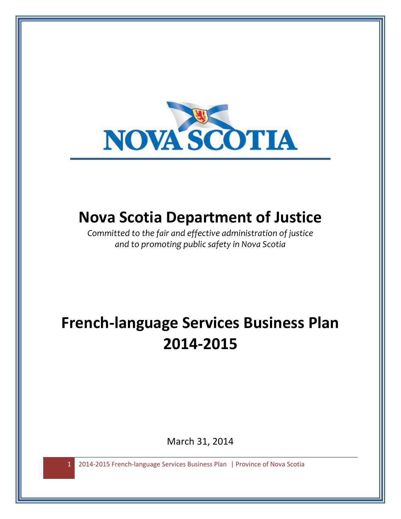

## **Nova Scotia Department of Justice**

*Committed to the fair and effective administration of justice and to promoting public safety in Nova Scotia*

# **French-language Services Business Plan 2014-2015**

March 31, 2014

1 2014-2015 French-language Services Business Plan | Province of Nova Scotia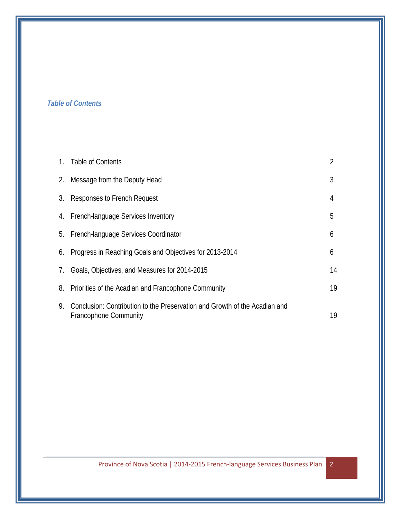## *Table of Contents*

|    | 1. Table of Contents                                                                                       | $\overline{2}$ |
|----|------------------------------------------------------------------------------------------------------------|----------------|
| 2. | Message from the Deputy Head                                                                               | 3              |
| 3. | Responses to French Request                                                                                | 4              |
|    | 4. French-language Services Inventory                                                                      | 5              |
| 5. | French-language Services Coordinator                                                                       | 6              |
| 6. | Progress in Reaching Goals and Objectives for 2013-2014                                                    | 6              |
|    | 7. Goals, Objectives, and Measures for 2014-2015                                                           | 14             |
| 8. | Priorities of the Acadian and Francophone Community                                                        | 19             |
| 9. | Conclusion: Contribution to the Preservation and Growth of the Acadian and<br><b>Francophone Community</b> | 19             |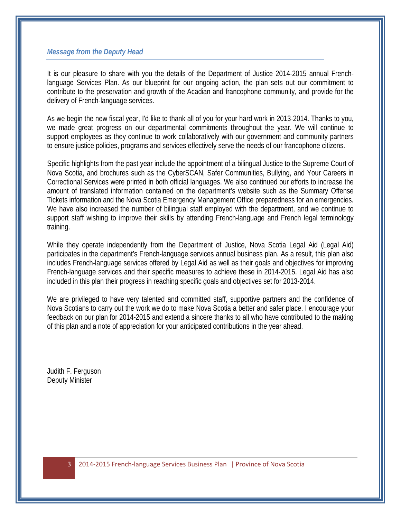#### *Message from the Deputy Head*

It is our pleasure to share with you the details of the Department of Justice 2014-2015 annual Frenchlanguage Services Plan. As our blueprint for our ongoing action, the plan sets out our commitment to contribute to the preservation and growth of the Acadian and francophone community, and provide for the delivery of French-language services.

As we begin the new fiscal year, I'd like to thank all of you for your hard work in 2013-2014. Thanks to you, we made great progress on our departmental commitments throughout the year. We will continue to support employees as they continue to work collaboratively with our government and community partners to ensure justice policies, programs and services effectively serve the needs of our francophone citizens.

Specific highlights from the past year include the appointment of a bilingual Justice to the Supreme Court of Nova Scotia, and brochures such as the CyberSCAN, Safer Communities, Bullying, and Your Careers in Correctional Services were printed in both official languages. We also continued our efforts to increase the amount of translated information contained on the department's website such as the Summary Offense Tickets information and the Nova Scotia Emergency Management Office preparedness for an emergencies. We have also increased the number of bilingual staff employed with the department, and we continue to support staff wishing to improve their skills by attending French-language and French legal terminology training.

While they operate independently from the Department of Justice, Nova Scotia Legal Aid (Legal Aid) participates in the department's French-language services annual business plan. As a result, this plan also includes French-language services offered by Legal Aid as well as their goals and objectives for improving French-language services and their specific measures to achieve these in 2014-2015. Legal Aid has also included in this plan their progress in reaching specific goals and objectives set for 2013-2014.

We are privileged to have very talented and committed staff, supportive partners and the confidence of Nova Scotians to carry out the work we do to make Nova Scotia a better and safer place. I encourage your feedback on our plan for 2014-2015 and extend a sincere thanks to all who have contributed to the making of this plan and a note of appreciation for your anticipated contributions in the year ahead.

Judith F. Ferguson Deputy Minister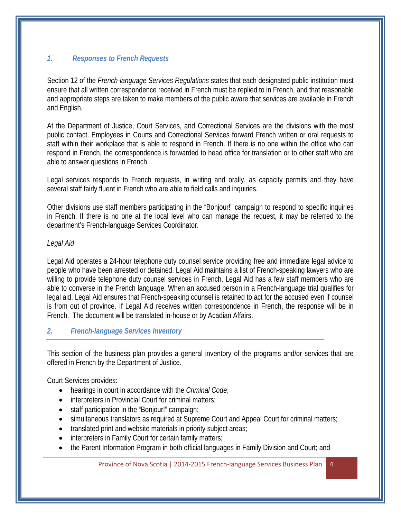## *1. Responses to French Requests*

Section 12 of the *French-language Services Regulations* states that each designated public institution must ensure that all written correspondence received in French must be replied to in French, and that reasonable and appropriate steps are taken to make members of the public aware that services are available in French and English.

At the Department of Justice, Court Services, and Correctional Services are the divisions with the most public contact. Employees in Courts and Correctional Services forward French written or oral requests to staff within their workplace that is able to respond in French. If there is no one within the office who can respond in French, the correspondence is forwarded to head office for translation or to other staff who are able to answer questions in French.

Legal services responds to French requests, in writing and orally, as capacity permits and they have several staff fairly fluent in French who are able to field calls and inquiries.

Other divisions use staff members participating in the "Bonjour!" campaign to respond to specific inquiries in French. If there is no one at the local level who can manage the request, it may be referred to the department's French-language Services Coordinator.

#### *Legal Aid*

Legal Aid operates a 24-hour telephone duty counsel service providing free and immediate legal advice to people who have been arrested or detained. Legal Aid maintains a list of French-speaking lawyers who are willing to provide telephone duty counsel services in French. Legal Aid has a few staff members who are able to converse in the French language. When an accused person in a French-language trial qualifies for legal aid, Legal Aid ensures that French-speaking counsel is retained to act for the accused even if counsel is from out of province. If Legal Aid receives written correspondence in French, the response will be in French. The document will be translated in-house or by Acadian Affairs.

#### *2. French-language Services Inventory*

This section of the business plan provides a general inventory of the programs and/or services that are offered in French by the Department of Justice.

Court Services provides:

- hearings in court in accordance with the *Criminal Code*;
- interpreters in Provincial Court for criminal matters;
- staff participation in the "Bonjour!" campaign;
- simultaneous translators as required at Supreme Court and Appeal Court for criminal matters;
- translated print and website materials in priority subject areas;
- interpreters in Family Court for certain family matters;
- the Parent Information Program in both official languages in Family Division and Court; and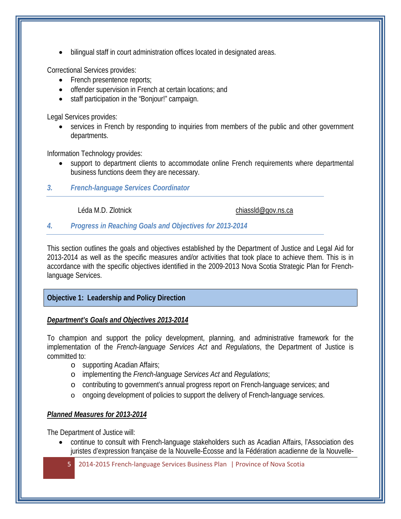• bilingual staff in court administration offices located in designated areas.

Correctional Services provides:

- French presentence reports;
- offender supervision in French at certain locations; and
- staff participation in the "Bonjour!" campaign.

Legal Services provides:

• services in French by responding to inquiries from members of the public and other government departments.

Information Technology provides:

- support to department clients to accommodate online French requirements where departmental business functions deem they are necessary.
- *3. French-language Services Coordinator*

Léda M.D. Zlotnick chiassid@gov.ns.ca

#### *4. Progress in Reaching Goals and Objectives for 2013-2014*

This section outlines the goals and objectives established by the Department of Justice and Legal Aid for 2013-2014 as well as the specific measures and/or activities that took place to achieve them. This is in accordance with the specific objectives identified in the 2009-2013 Nova Scotia Strategic Plan for Frenchlanguage Services.

## **Objective 1: Leadership and Policy Direction**

#### *Department's Goals and Objectives 2013-2014*

To champion and support the policy development, planning, and administrative framework for the implementation of the *French-language Services Act* and *Regulations*, the Department of Justice is committed to:

- o supporting Acadian Affairs;
- o implementing the *French-language Services Act* and *Regulations*;
- o contributing to government's annual progress report on French-language services; and
- o ongoing development of policies to support the delivery of French-language services.

## *Planned Measures for 2013-2014*

The Department of Justice will:

- continue to consult with French-language stakeholders such as Acadian Affairs, l'Association des juristes d'expression française de la Nouvelle-Écosse and la Fédération acadienne de la Nouvelle-
	- 5 2014-2015 French-language Services Business Plan | Province of Nova Scotia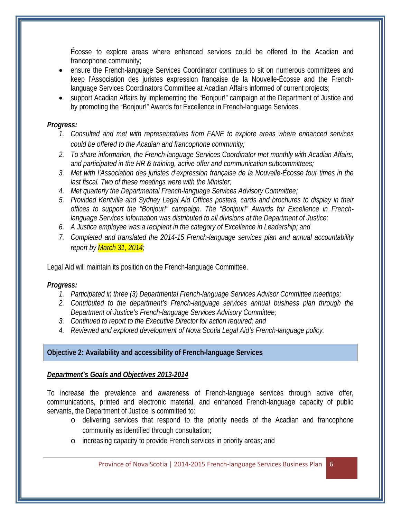Écosse to explore areas where enhanced services could be offered to the Acadian and francophone community;

- ensure the French-language Services Coordinator continues to sit on numerous committees and keep l'Association des juristes expression française de la Nouvelle-Écosse and the Frenchlanguage Services Coordinators Committee at Acadian Affairs informed of current projects;
- support Acadian Affairs by implementing the "Bonjour!" campaign at the Department of Justice and by promoting the "Bonjour!" Awards for Excellence in French-language Services.

#### *Progress:*

- *1. Consulted and met with representatives from FANE to explore areas where enhanced services could be offered to the Acadian and francophone community;*
- *2. To share information, the French-language Services Coordinator met monthly with Acadian Affairs, and participated in the HR & training, active offer and communication subcommittees;*
- *3. Met with l'Association des juristes d'expression française de la Nouvelle-Écosse four times in the last fiscal. Two of these meetings were with the Minister;*
- *4. Met quarterly the Departmental French-language Services Advisory Committee;*
- *5. Provided Kentville and Sydney Legal Aid Offices posters, cards and brochures to display in their offices to support the "Bonjour!" campaign. The "Bonjour!" Awards for Excellence in Frenchlanguage Services information was distributed to all divisions at the Department of Justice;*
- *6. A Justice employee was a recipient in the category of Excellence in Leadership; and*
- *7. Completed and translated the 2014-15 French-language services plan and annual accountability report by March 31, 2014;*

Legal Aid will maintain its position on the French-language Committee.

## *Progress:*

- *1. Participated in three (3) Departmental French-language Services Advisor Committee meetings;*
- *2. Contributed to the department's French-language services annual business plan through the Department of Justice's French-language Services Advisory Committee;*
- *3. Continued to report to the Executive Director for action required; and*
- *4. Reviewed and explored development of Nova Scotia Legal Aid's French-language policy.*

## **Objective 2: Availability and accessibility of French-language Services**

## *Department's Goals and Objectives 2013-2014*

To increase the prevalence and awareness of French-language services through active offer, communications, printed and electronic material, and enhanced French-language capacity of public servants, the Department of Justice is committed to:

- o delivering services that respond to the priority needs of the Acadian and francophone community as identified through consultation;
- o increasing capacity to provide French services in priority areas; and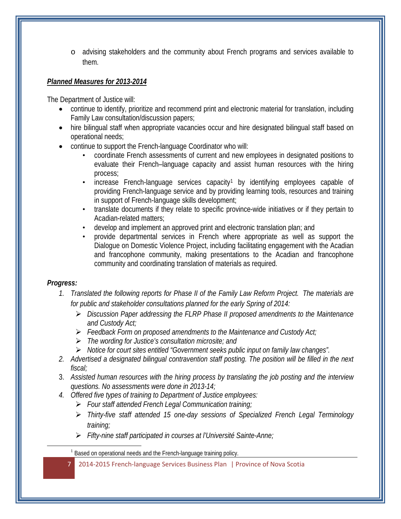o advising stakeholders and the community about French programs and services available to them.

## *Planned Measures for 2013-2014*

The Department of Justice will:

- continue to identify, prioritize and recommend print and electronic material for translation, including Family Law consultation/discussion papers;
- hire bilingual staff when appropriate vacancies occur and hire designated bilingual staff based on operational needs;
- continue to support the French-language Coordinator who will:
	- coordinate French assessments of current and new employees in designated positions to evaluate their French–language capacity and assist human resources with the hiring process;
	- increase French-language services capacity<sup>[1](#page-6-0)</sup> by identifying employees capable of providing French-language service and by providing learning tools, resources and training in support of French-language skills development;
	- translate documents if they relate to specific province-wide initiatives or if they pertain to Acadian-related matters;
	- develop and implement an approved print and electronic translation plan; and
	- provide departmental services in French where appropriate as well as support the Dialogue on Domestic Violence Project, including facilitating engagement with the Acadian and francophone community, making presentations to the Acadian and francophone community and coordinating translation of materials as required.

## *Progress:*

<span id="page-6-0"></span> $\overline{\phantom{a}}$ 

- *1. Translated the following reports for Phase II of the Family Law Reform Project. The materials are for public and stakeholder consultations planned for the early Spring of 2014:*
	- *Discussion Paper addressing the FLRP Phase II proposed amendments to the Maintenance and Custody Act;*
	- *Feedback Form on proposed amendments to the Maintenance and Custody Act;*
	- *The wording for Justice's consultation microsite; and*
	- *Notice for court sites entitled "Government seeks public input on family law changes".*
- *2. Advertised a designated bilingual contravention staff posting. The position will be filled in the next fiscal;*
- 3. *Assisted human resources with the hiring process by translating the job posting and the interview questions. No assessments were done in 2013-14;*
- *4. Offered five types of training to Department of Justice employees:* 
	- *Four staff attended French Legal Communication training;*
	- *Thirty-five staff attended 15 one-day sessions of Specialized French Legal Terminology training;*
	- *Fifty-nine staff participated in courses at l'Université Sainte-Anne;*

<sup>&</sup>lt;sup>1</sup> Based on operational needs and the French-language training policy.

<sup>7</sup> 2014-2015 French-language Services Business Plan | Province of Nova Scotia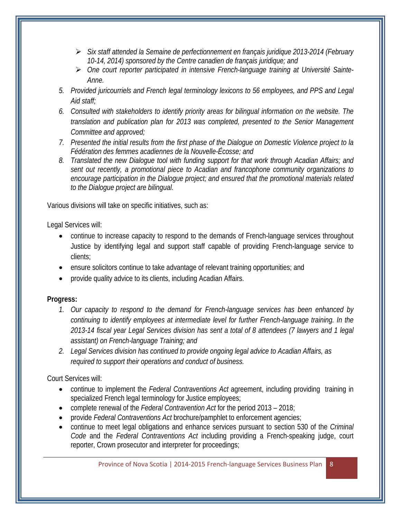- *Six staff attended la Semaine de perfectionnement en français juridique 2013-2014 (February 10-14, 2014) sponsored by the Centre canadien de français juridique; and*
- *One court reporter participated in intensive French-language training at Université Sainte-Anne.*
- *5. Provided juricourriels and French legal terminology lexicons to 56 employees, and PPS and Legal Aid staff;*
- *6. Consulted with stakeholders to identify priority areas for bilingual information on the website. The translation and publication plan for 2013 was completed, presented to the Senior Management Committee and approved;*
- *7. Presented the initial results from the first phase of the Dialogue on Domestic Violence project to la Fédération des femmes acadiennes de la Nouvelle-Écosse; and*
- *8. Translated the new Dialogue tool with funding support for that work through Acadian Affairs; and sent out recently, a promotional piece to Acadian and francophone community organizations to encourage participation in the Dialogue project; and ensured that the promotional materials related to the Dialogue project are bilingual.*

Various divisions will take on specific initiatives, such as:

Legal Services will:

- continue to increase capacity to respond to the demands of French-language services throughout Justice by identifying legal and support staff capable of providing French-language service to clients;
- ensure solicitors continue to take advantage of relevant training opportunities; and
- provide quality advice to its clients, including Acadian Affairs.

## **Progress:**

- *1. Our capacity to respond to the demand for French-language services has been enhanced by continuing to identify employees at intermediate level for further French-language training. In the 2013-14 fiscal year Legal Services division has sent a total of 8 attendees (7 lawyers and 1 legal assistant) on French-language Training; and*
- *2. Legal Services division has continued to provide ongoing legal advice to Acadian Affairs, as required to support their operations and conduct of business.*

Court Services will:

- continue to implement the *Federal Contraventions Act* agreement, including providing training in specialized French legal terminology for Justice employees;
- complete renewal of the *Federal Contravention Act* for the period 2013 2018;
- provide *Federal Contraventions Act* brochure/pamphlet to enforcement agencies;
- continue to meet legal obligations and enhance services pursuant to section 530 of the *Criminal Code* and the *Federal Contraventions Act* including providing a French-speaking judge, court reporter, Crown prosecutor and interpreter for proceedings;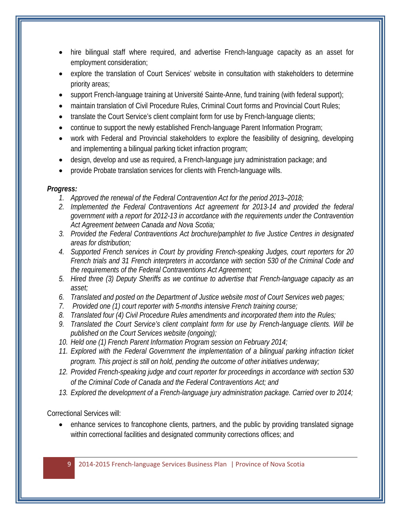- hire bilingual staff where required, and advertise French-language capacity as an asset for employment consideration;
- explore the translation of Court Services' website in consultation with stakeholders to determine priority areas;
- support French-language training at Université Sainte-Anne, fund training (with federal support);
- maintain translation of Civil Procedure Rules, Criminal Court forms and Provincial Court Rules;
- translate the Court Service's client complaint form for use by French-language clients;
- continue to support the newly established French-language Parent Information Program;
- work with Federal and Provincial stakeholders to explore the feasibility of designing, developing and implementing a bilingual parking ticket infraction program;
- design, develop and use as required, a French-language jury administration package; and
- provide Probate translation services for clients with French-language wills.

## *Progress:*

- *1. Approved the renewal of the Federal Contravention Act for the period 2013–2018;*
- *2. Implemented the Federal Contraventions Act agreement for 2013-14 and provided the federal government with a report for 2012-13 in accordance with the requirements under the Contravention Act Agreement between Canada and Nova Scotia;*
- *3. Provided the Federal Contraventions Act brochure/pamphlet to five Justice Centres in designated areas for distribution;*
- *4. Supported French services in Court by providing French-speaking Judges, court reporters for 20 French trials and 31 French interpreters in accordance with section 530 of the Criminal Code and the requirements of the Federal Contraventions Act Agreement;*
- *5. Hired three (3) Deputy Sheriffs as we continue to advertise that French-language capacity as an asset;*
- *6. Translated and posted on the Department of Justice website most of Court Services web pages;*
- *7. Provided one (1) court reporter with 5-months intensive French training course;*
- *8. Translated four (4) Civil Procedure Rules amendments and incorporated them into the Rules;*
- *9. Translated the Court Service's client complaint form for use by French-language clients. Will be published on the Court Services website (ongoing);*
- *10. Held one (1) French Parent Information Program session on February 2014;*
- *11. Explored with the Federal Government the implementation of a bilingual parking infraction ticket program. This project is still on hold, pending the outcome of other initiatives underway;*
- *12. Provided French-speaking judge and court reporter for proceedings in accordance with section 530 of the Criminal Code of Canada and the Federal Contraventions Act; and*
- *13. Explored the development of a French-language jury administration package. Carried over to 2014;*

Correctional Services will:

• enhance services to francophone clients, partners, and the public by providing translated signage within correctional facilities and designated community corrections offices; and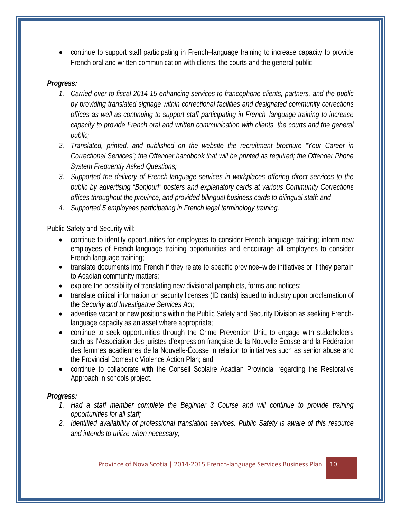• continue to support staff participating in French–language training to increase capacity to provide French oral and written communication with clients, the courts and the general public.

#### *Progress:*

- *1. Carried over to fiscal 2014-15 enhancing services to francophone clients, partners, and the public by providing translated signage within correctional facilities and designated community corrections offices as well as continuing to support staff participating in French–language training to increase capacity to provide French oral and written communication with clients, the courts and the general public;*
- *2. Translated, printed, and published on the website the recruitment brochure "Your Career in Correctional Services"; the Offender handbook that will be printed as required; the Offender Phone System Frequently Asked Questions;*
- *3. Supported the delivery of French-language services in workplaces offering direct services to the public by advertising "Bonjour!" posters and explanatory cards at various Community Corrections offices throughout the province; and provided bilingual business cards to bilingual staff; and*
- *4. Supported 5 employees participating in French legal terminology training.*

Public Safety and Security will:

- continue to identify opportunities for employees to consider French-language training; inform new employees of French-language training opportunities and encourage all employees to consider French-language training;
- translate documents into French if they relate to specific province–wide initiatives or if they pertain to Acadian community matters;
- explore the possibility of translating new divisional pamphlets, forms and notices;
- translate critical information on security licenses (ID cards) issued to industry upon proclamation of the *Security and Investigative Services Act;*
- advertise vacant or new positions within the Public Safety and Security Division as seeking Frenchlanguage capacity as an asset where appropriate;
- continue to seek opportunities through the Crime Prevention Unit, to engage with stakeholders such as l'Association des juristes d'expression française de la Nouvelle-Écosse and la Fédération des femmes acadiennes de la Nouvelle-Écosse in relation to initiatives such as senior abuse and the Provincial Domestic Violence Action Plan; and
- continue to collaborate with the Conseil Scolaire Acadian Provincial regarding the Restorative Approach in schools project.

## *Progress:*

- *1. Had a staff member complete the Beginner 3 Course and will continue to provide training opportunities for all staff;*
- *2. Identified availability of professional translation services. Public Safety is aware of this resource and intends to utilize when necessary;*

Province of Nova Scotia | 2014-2015 French-language Services Business Plan | 10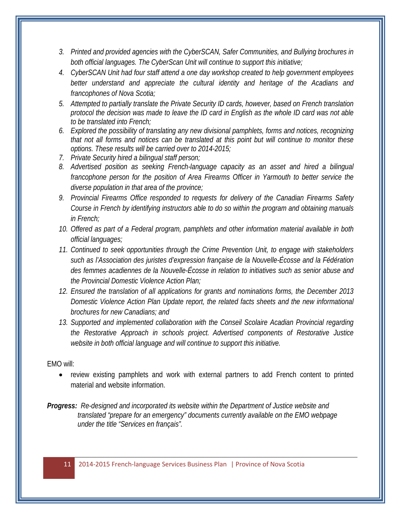- *3. Printed and provided agencies with the CyberSCAN, Safer Communities, and Bullying brochures in both official languages. The CyberScan Unit will continue to support this initiative;*
- *4. CyberSCAN Unit had four staff attend a one day workshop created to help government employees better understand and appreciate the cultural identity and heritage of the Acadians and francophones of Nova Scotia;*
- *5. Attempted to partially translate the Private Security ID cards, however, based on French translation protocol the decision was made to leave the ID card in English as the whole ID card was not able to be translated into French;*
- *6. Explored the possibility of translating any new divisional pamphlets, forms and notices, recognizing that not all forms and notices can be translated at this point but will continue to monitor these options. These results will be carried over to 2014-2015;*
- *7. Private Security hired a bilingual staff person;*
- *8. Advertised position as seeking French-language capacity as an asset and hired a bilingual francophone person for the position of Area Firearms Officer in Yarmouth to better service the diverse population in that area of the province;*
- *9. Provincial Firearms Office responded to requests for delivery of the Canadian Firearms Safety Course in French by identifying instructors able to do so within the program and obtaining manuals in French;*
- *10. Offered as part of a Federal program, pamphlets and other information material available in both official languages;*
- *11. Continued to seek opportunities through the Crime Prevention Unit, to engage with stakeholders such as l'Association des juristes d'expression française de la Nouvelle-Écosse and la Fédération des femmes acadiennes de la Nouvelle-Écosse in relation to initiatives such as senior abuse and the Provincial Domestic Violence Action Plan;*
- *12. Ensured the translation of all applications for grants and nominations forms, the December 2013 Domestic Violence Action Plan Update report, the related facts sheets and the new informational brochures for new Canadians; and*
- 13. Supported and implemented collaboration with the Conseil Scolaire Acadian Provincial regarding *the Restorative Approach in schools project. Advertised components of Restorative Justice website in both official language and will continue to support this initiative.*

#### EMO will:

- review existing pamphlets and work with external partners to add French content to printed material and website information.
- *Progress: Re-designed and incorporated its website within the Department of Justice website and translated "prepare for an emergency" documents currently available on the EMO webpage under the title "Services en français".*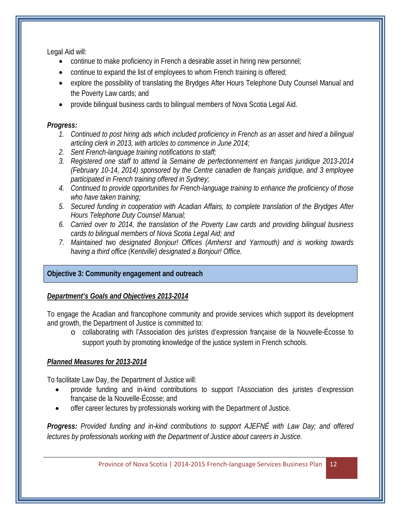Legal Aid will:

- continue to make proficiency in French a desirable asset in hiring new personnel;
- continue to expand the list of employees to whom French training is offered;
- explore the possibility of translating the Brydges After Hours Telephone Duty Counsel Manual and the Poverty Law cards; and
- provide bilingual business cards to bilingual members of Nova Scotia Legal Aid.

## *Progress:*

- *1. Continued to post hiring ads which included proficiency in French as an asset and hired a bilingual articling clerk in 2013, with articles to commence in June 2014;*
- *2. Sent French-language training notifications to staff;*
- *3. Registered one staff to attend la Semaine de perfectionnement en français juridique 2013-2014 (February 10-14, 2014) sponsored by the Centre canadien de français juridique, and 3 employee participated in French training offered in Sydney;*
- *4. Continued to provide opportunities for French-language training to enhance the proficiency of those who have taken training;*
- *5. Secured funding in cooperation with Acadian Affairs, to complete translation of the Brydges After Hours Telephone Duty Counsel Manual;*
- *6. Carried over to 2014, the translation of the Poverty Law cards and providing bilingual business cards to bilingual members of Nova Scotia Legal Aid; and*
- *7. Maintained two designated Bonjour! Offices (Amherst and Yarmouth) and is working towards having a third office (Kentville) designated a Bonjour! Office.*

## **Objective 3: Community engagement and outreach**

## *Department's Goals and Objectives 2013-2014*

To engage the Acadian and francophone community and provide services which support its development and growth, the Department of Justice is committed to:

o collaborating with l'Association des juristes d'expression française de la Nouvelle-Écosse to support youth by promoting knowledge of the justice system in French schools.

## *Planned Measures for 2013-2014*

To facilitate Law Day, the Department of Justice will:

- provide funding and in-kind contributions to support l'Association des juristes d'expression française de la Nouvelle-Écosse; and
- offer career lectures by professionals working with the Department of Justice.

*Progress: Provided funding and in-kind contributions to support AJEFNÉ with Law Day; and offered lectures by professionals working with the Department of Justice about careers in Justice.*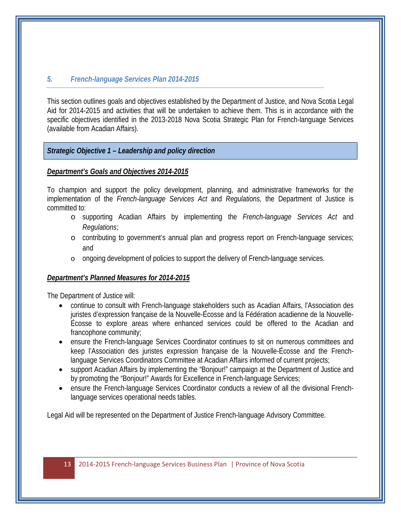#### *5. French-language Services Plan 2014-2015*

This section outlines goals and objectives established by the Department of Justice, and Nova Scotia Legal Aid for 2014-2015 and activities that will be undertaken to achieve them. This is in accordance with the specific objectives identified in the 2013-2018 Nova Scotia Strategic Plan for French-language Services (available from Acadian Affairs).

#### *Strategic Objective 1 – Leadership and policy direction*

#### *Department's Goals and Objectives 2014-2015*

To champion and support the policy development, planning, and administrative frameworks for the implementation of the *French-language Services Act* and *Regulations,* the Department of Justice is committed to:

- o supporting Acadian Affairs by implementing the *French-language Services Act* and *Regulations*;
- o contributing to government's annual plan and progress report on French-language services; and
- o ongoing development of policies to support the delivery of French-language services.

#### *Department's Planned Measures for 2014-2015*

The Department of Justice will:

- continue to consult with French-language stakeholders such as Acadian Affairs, l'Association des juristes d'expression française de la Nouvelle-Écosse and la Fédération acadienne de la Nouvelle-Écosse to explore areas where enhanced services could be offered to the Acadian and francophone community;
- ensure the French-language Services Coordinator continues to sit on numerous committees and keep l'Association des juristes expression française de la Nouvelle-Écosse and the Frenchlanguage Services Coordinators Committee at Acadian Affairs informed of current projects;
- support Acadian Affairs by implementing the "Bonjour!" campaign at the Department of Justice and by promoting the "Bonjour!" Awards for Excellence in French-language Services;
- ensure the French-language Services Coordinator conducts a review of all the divisional Frenchlanguage services operational needs tables.

Legal Aid will be represented on the Department of Justice French-language Advisory Committee.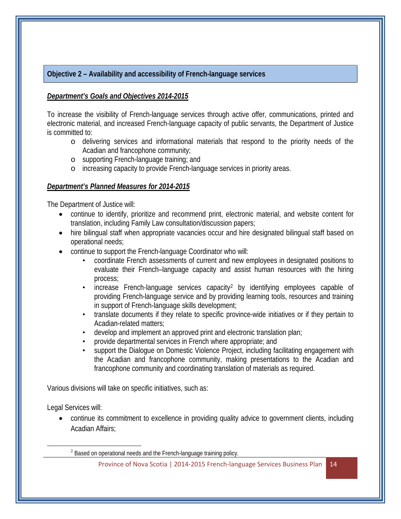#### **Objective 2 – Availability and accessibility of French-language services**

#### *Department's Goals and Objectives 2014-2015*

To increase the visibility of French-language services through active offer, communications, printed and electronic material, and increased French-language capacity of public servants, the Department of Justice is committed to:

- o delivering services and informational materials that respond to the priority needs of the Acadian and francophone community;
- o supporting French-language training; and
- o increasing capacity to provide French-language services in priority areas.

#### *Department's Planned Measures for 2014-2015*

The Department of Justice will:

- continue to identify, prioritize and recommend print, electronic material, and website content for translation, including Family Law consultation/discussion papers;
- hire bilingual staff when appropriate vacancies occur and hire designated bilingual staff based on operational needs;
- continue to support the French-language Coordinator who will:
	- coordinate French assessments of current and new employees in designated positions to evaluate their French–language capacity and assist human resources with the hiring process;
	- increase French-language services capacity<sup>[2](#page-13-0)</sup> by identifying employees capable of providing French-language service and by providing learning tools, resources and training in support of French-language skills development;
	- translate documents if they relate to specific province-wide initiatives or if they pertain to Acadian-related matters;
	- develop and implement an approved print and electronic translation plan;
	- provide departmental services in French where appropriate; and
	- support the Dialogue on Domestic Violence Project, including facilitating engagement with the Acadian and francophone community, making presentations to the Acadian and francophone community and coordinating translation of materials as required.

Various divisions will take on specific initiatives, such as:

Legal Services will:

<span id="page-13-0"></span> $\overline{\phantom{a}}$ 

• continue its commitment to excellence in providing quality advice to government clients, including Acadian Affairs;

<sup>2</sup> Based on operational needs and the French-language training policy.

Province of Nova Scotia | 2014-2015 French-language Services Business Plan | 14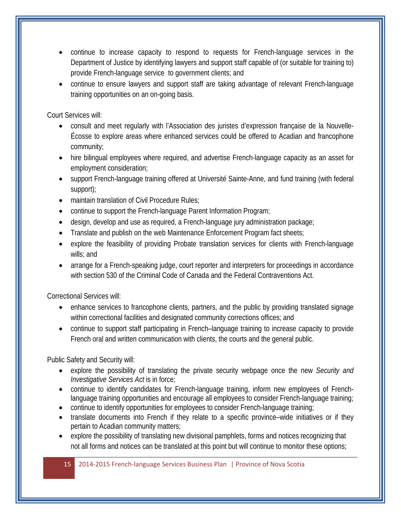- continue to increase capacity to respond to requests for French-language services in the Department of Justice by identifying lawyers and support staff capable of (or suitable for training to) provide French-language service to government clients; and
- continue to ensure lawyers and support staff are taking advantage of relevant French-language training opportunities on an on-going basis.

Court Services will:

- consult and meet regularly with l'Association des juristes d'expression française de la Nouvelle-Écosse to explore areas where enhanced services could be offered to Acadian and francophone community;
- hire bilingual employees where required, and advertise French-language capacity as an asset for employment consideration;
- support French-language training offered at Université Sainte-Anne, and fund training (with federal support);
- maintain translation of Civil Procedure Rules:
- continue to support the French-language Parent Information Program;
- design, develop and use as required, a French-language jury administration package;
- Translate and publish on the web Maintenance Enforcement Program fact sheets;
- explore the feasibility of providing Probate translation services for clients with French-language wills; and
- arrange for a French-speaking judge, court reporter and interpreters for proceedings in accordance with section 530 of the Criminal Code of Canada and the Federal Contraventions Act.

Correctional Services will:

- enhance services to francophone clients, partners, and the public by providing translated signage within correctional facilities and designated community corrections offices; and
- continue to support staff participating in French–language training to increase capacity to provide French oral and written communication with clients, the courts and the general public.

Public Safety and Security will:

- explore the possibility of translating the private security webpage once the new *Security and Investigative Services Act* is in force;
- continue to identify candidates for French-language training, inform new employees of Frenchlanguage training opportunities and encourage all employees to consider French-language training;
- continue to identify opportunities for employees to consider French-language training;
- translate documents into French if they relate to a specific province–wide initiatives or if they pertain to Acadian community matters;
- explore the possibility of translating new divisional pamphlets, forms and notices recognizing that not all forms and notices can be translated at this point but will continue to monitor these options;

15 2014-2015 French-language Services Business Plan | Province of Nova Scotia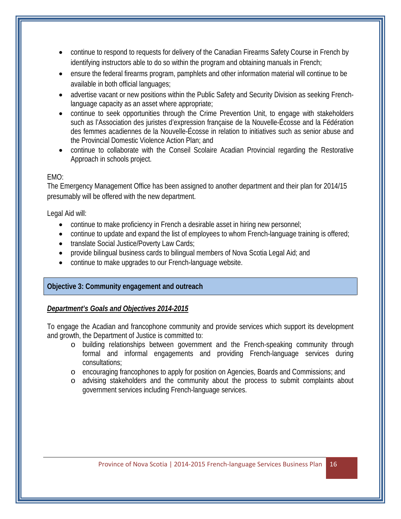- continue to respond to requests for delivery of the Canadian Firearms Safety Course in French by identifying instructors able to do so within the program and obtaining manuals in French;
- ensure the federal firearms program, pamphlets and other information material will continue to be available in both official languages;
- advertise vacant or new positions within the Public Safety and Security Division as seeking Frenchlanguage capacity as an asset where appropriate;
- continue to seek opportunities through the Crime Prevention Unit, to engage with stakeholders such as l'Association des juristes d'expression française de la Nouvelle-Écosse and la Fédération des femmes acadiennes de la Nouvelle-Écosse in relation to initiatives such as senior abuse and the Provincial Domestic Violence Action Plan; and
- continue to collaborate with the Conseil Scolaire Acadian Provincial regarding the Restorative Approach in schools project.

#### EMO:

The Emergency Management Office has been assigned to another department and their plan for 2014/15 presumably will be offered with the new department.

Legal Aid will:

- continue to make proficiency in French a desirable asset in hiring new personnel;
- continue to update and expand the list of employees to whom French-language training is offered;
- translate Social Justice/Poverty Law Cards;
- provide bilingual business cards to bilingual members of Nova Scotia Legal Aid; and
- continue to make upgrades to our French-language website.

## **Objective 3: Community engagement and outreach**

## *Department's Goals and Objectives 2014-2015*

To engage the Acadian and francophone community and provide services which support its development and growth, the Department of Justice is committed to:

- o building relationships between government and the French-speaking community through formal and informal engagements and providing French-language services during consultations;
- o encouraging francophones to apply for position on Agencies, Boards and Commissions; and
- o advising stakeholders and the community about the process to submit complaints about government services including French-language services.